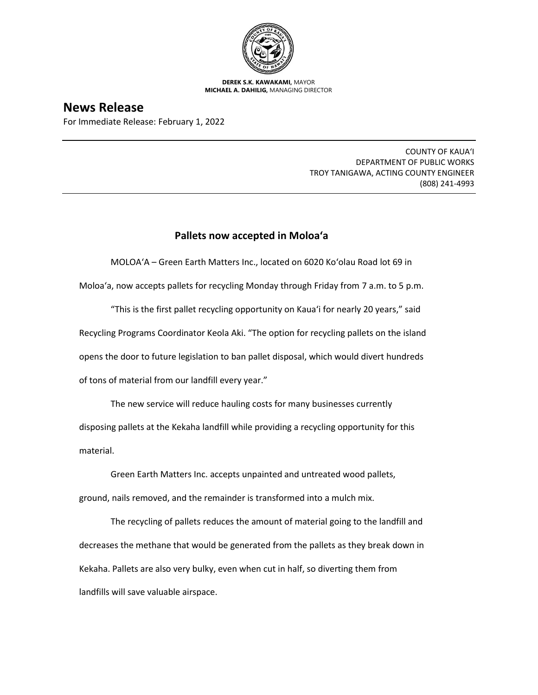

**DEREK S.K. KAWAKAMI,** MAYOR **MICHAEL A. DAHILIG,** MANAGING DIRECTOR

## **News Release**

For Immediate Release: February 1, 2022

COUNTY OF KAUA'I DEPARTMENT OF PUBLIC WORKS TROY TANIGAWA, ACTING COUNTY ENGINEER (808) 241-4993

## **Pallets now accepted in Moloa'a**

MOLOA'A – Green Earth Matters Inc., located on 6020 Ko'olau Road lot 69 in

Moloa'a, now accepts pallets for recycling Monday through Friday from 7 a.m. to 5 p.m.

"This is the first pallet recycling opportunity on Kaua'i for nearly 20 years," said Recycling Programs Coordinator Keola Aki. "The option for recycling pallets on the island opens the door to future legislation to ban pallet disposal, which would divert hundreds of tons of material from our landfill every year."

The new service will reduce hauling costs for many businesses currently disposing pallets at the Kekaha landfill while providing a recycling opportunity for this material.

Green Earth Matters Inc. accepts unpainted and untreated wood pallets, ground, nails removed, and the remainder is transformed into a mulch mix.

The recycling of pallets reduces the amount of material going to the landfill and decreases the methane that would be generated from the pallets as they break down in Kekaha. Pallets are also very bulky, even when cut in half, so diverting them from landfills will save valuable airspace.